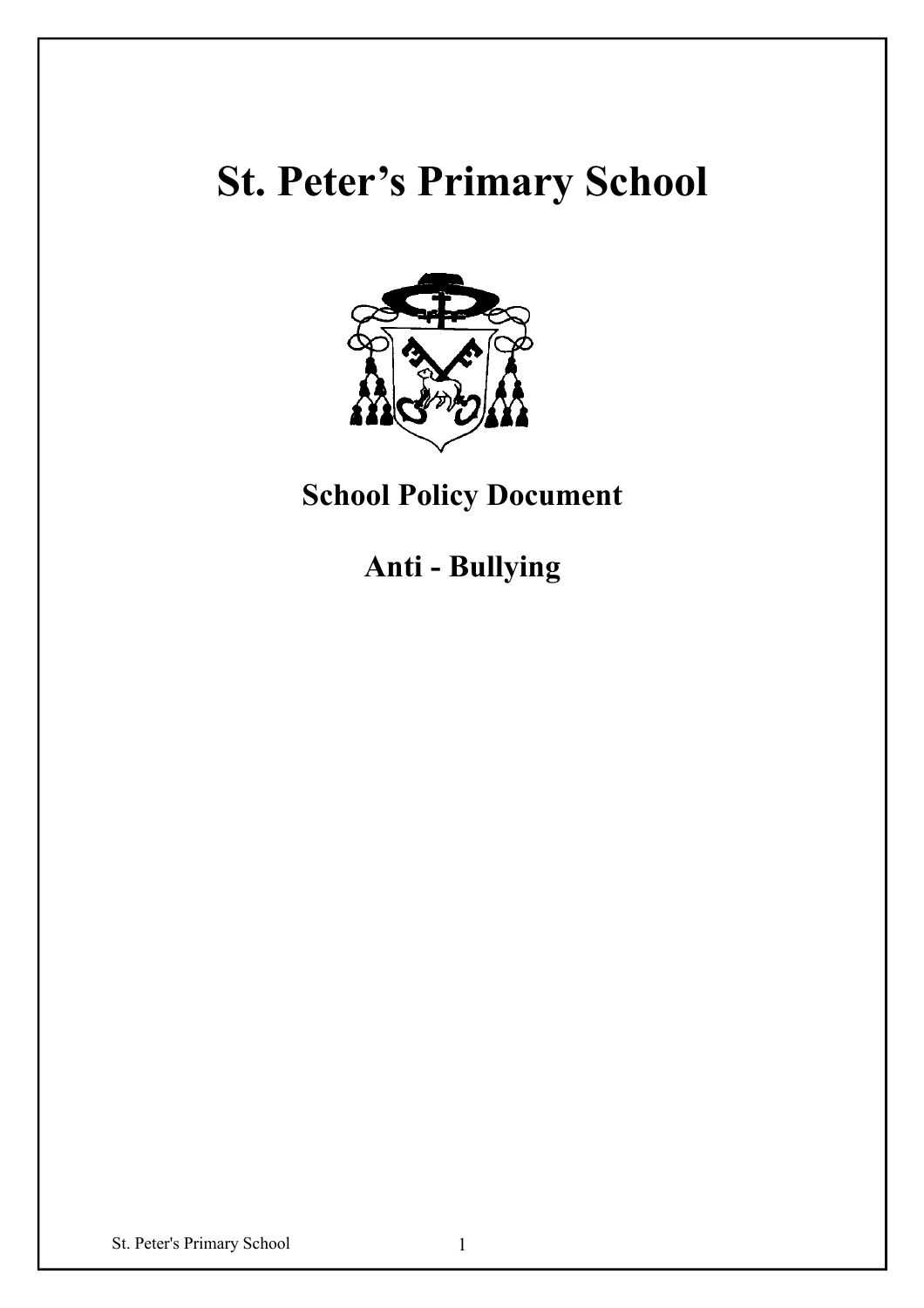# **St. Peter's Primary School**



**School Policy Document**

**Anti - Bullying**

St. Peter's Primary School 1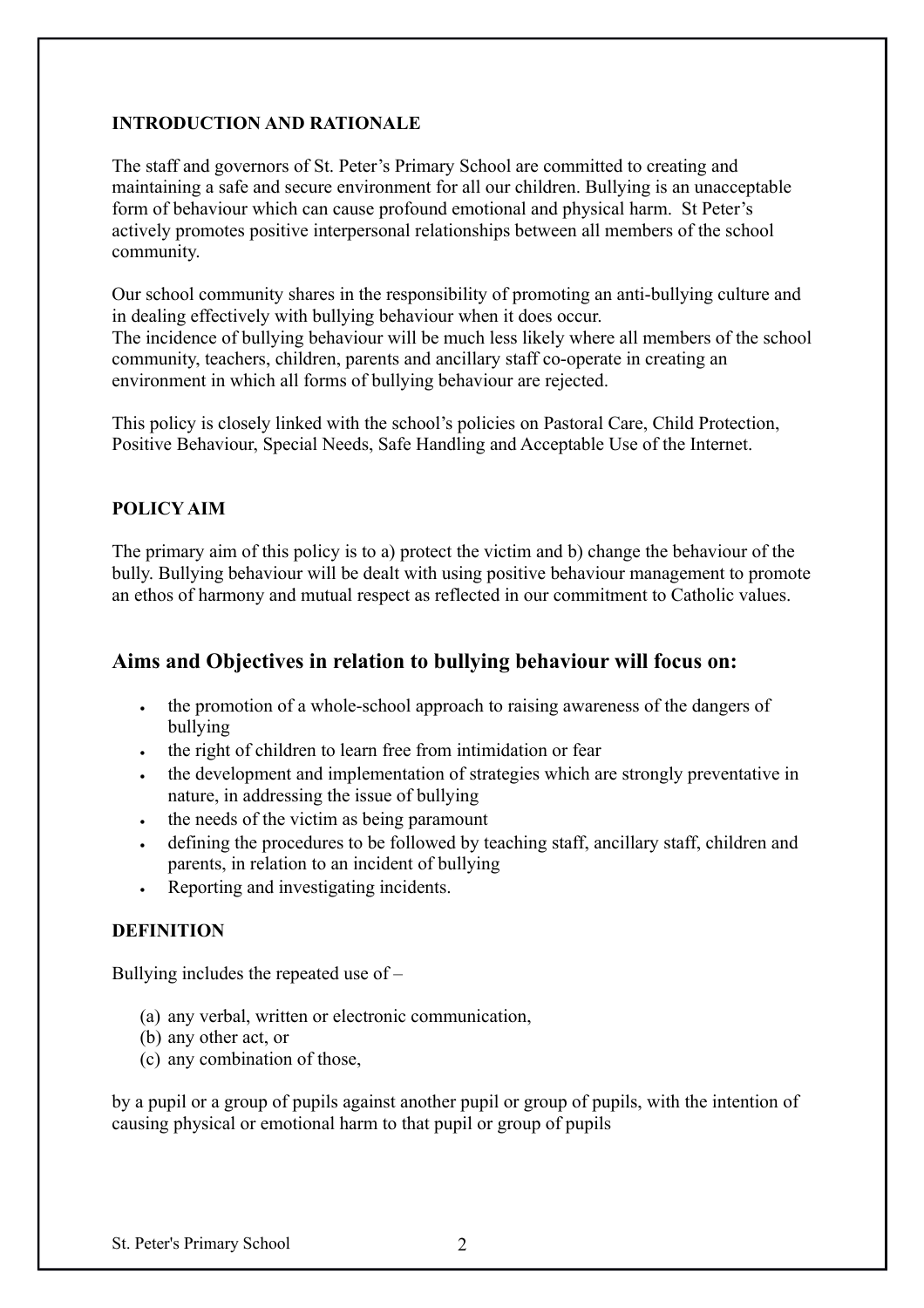## **INTRODUCTION AND RATIONALE**

The staff and governors of St. Peter's Primary School are committed to creating and maintaining a safe and secure environment for all our children. Bullying is an unacceptable form of behaviour which can cause profound emotional and physical harm. St Peter's actively promotes positive interpersonal relationships between all members of the school community.

Our school community shares in the responsibility of promoting an anti-bullying culture and in dealing effectively with bullying behaviour when it does occur. The incidence of bullying behaviour will be much less likely where all members of the school community, teachers, children, parents and ancillary staff co-operate in creating an environment in which all forms of bullying behaviour are rejected.

This policy is closely linked with the school's policies on Pastoral Care, Child Protection, Positive Behaviour, Special Needs, Safe Handling and Acceptable Use of the Internet.

## **POLICY AIM**

The primary aim of this policy is to a) protect the victim and b) change the behaviour of the bully. Bullying behaviour will be dealt with using positive behaviour management to promote an ethos of harmony and mutual respect as reflected in our commitment to Catholic values.

## **Aims and Objectives in relation to bullying behaviour will focus on:**

- the promotion of a whole-school approach to raising awareness of the dangers of bullying
- the right of children to learn free from intimidation or fear
- the development and implementation of strategies which are strongly preventative in nature, in addressing the issue of bullying
- the needs of the victim as being paramount
- defining the procedures to be followed by teaching staff, ancillary staff, children and parents, in relation to an incident of bullying
- Reporting and investigating incidents.

## **DEFINITION**

Bullying includes the repeated use of –

- (a) any verbal, written or electronic communication,
- (b) any other act, or
- (c) any combination of those,

by a pupil or a group of pupils against another pupil or group of pupils, with the intention of causing physical or emotional harm to that pupil or group of pupils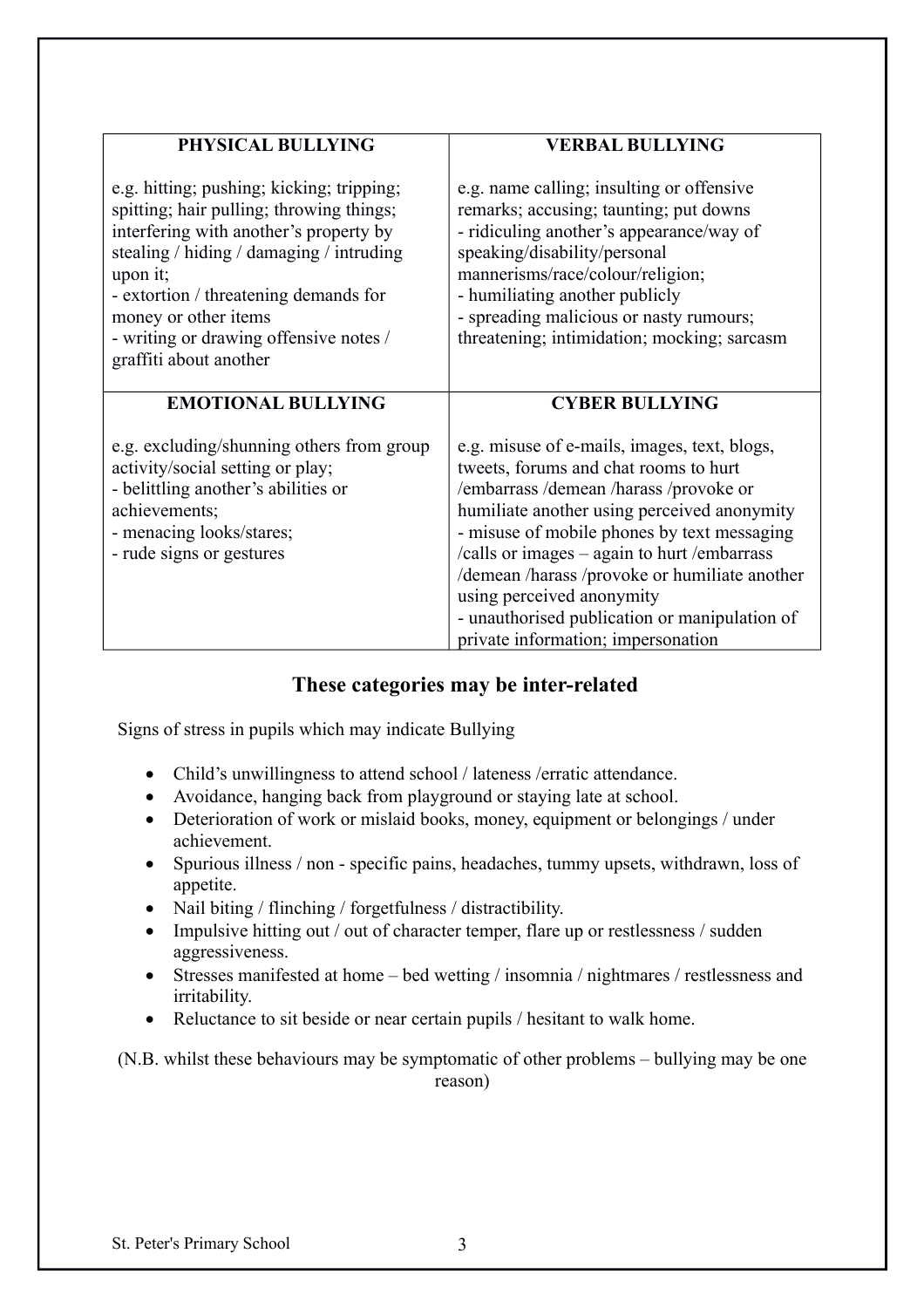| PHYSICAL BULLYING                                                                                                                                                                                                                                                                                                            | <b>VERBAL BULLYING</b>                                                                                                                                                                                                                                                                                                                                                                                                                         |  |
|------------------------------------------------------------------------------------------------------------------------------------------------------------------------------------------------------------------------------------------------------------------------------------------------------------------------------|------------------------------------------------------------------------------------------------------------------------------------------------------------------------------------------------------------------------------------------------------------------------------------------------------------------------------------------------------------------------------------------------------------------------------------------------|--|
| e.g. hitting; pushing; kicking; tripping;<br>spitting; hair pulling; throwing things;<br>interfering with another's property by<br>stealing / hiding / damaging / intruding<br>upon it;<br>- extortion / threatening demands for<br>money or other items<br>- writing or drawing offensive notes /<br>graffiti about another | e.g. name calling; insulting or offensive<br>remarks; accusing; taunting; put downs<br>- ridiculing another's appearance/way of<br>speaking/disability/personal<br>mannerisms/race/colour/religion;<br>- humiliating another publicly<br>- spreading malicious or nasty rumours;<br>threatening; intimidation; mocking; sarcasm                                                                                                                |  |
| <b>EMOTIONAL BULLYING</b>                                                                                                                                                                                                                                                                                                    | <b>CYBER BULLYING</b>                                                                                                                                                                                                                                                                                                                                                                                                                          |  |
| e.g. excluding/shunning others from group<br>activity/social setting or play;<br>- belittling another's abilities or<br>achievements;<br>- menacing looks/stares;<br>- rude signs or gestures                                                                                                                                | e.g. misuse of e-mails, images, text, blogs,<br>tweets, forums and chat rooms to hurt<br>/embarrass/demean/harass/provoke or<br>humiliate another using perceived anonymity<br>- misuse of mobile phones by text messaging<br>/calls or images - again to hurt /embarrass<br>/demean /harass /provoke or humiliate another<br>using perceived anonymity<br>- unauthorised publication or manipulation of<br>private information; impersonation |  |

# **These categories may be inter-related**

Signs of stress in pupils which may indicate Bullying

- Child's unwillingness to attend school / lateness / erratic attendance.
- Avoidance, hanging back from playground or staying late at school.
- Deterioration of work or mislaid books, money, equipment or belongings / under achievement.
- Spurious illness / non specific pains, headaches, tummy upsets, withdrawn, loss of appetite.
- Nail biting / flinching / forgetfulness / distractibility.
- Impulsive hitting out / out of character temper, flare up or restlessness / sudden aggressiveness.
- Stresses manifested at home bed wetting / insomnia / nightmares / restlessness and irritability.
- Reluctance to sit beside or near certain pupils / hesitant to walk home.

(N.B. whilst these behaviours may be symptomatic of other problems – bullying may be one reason)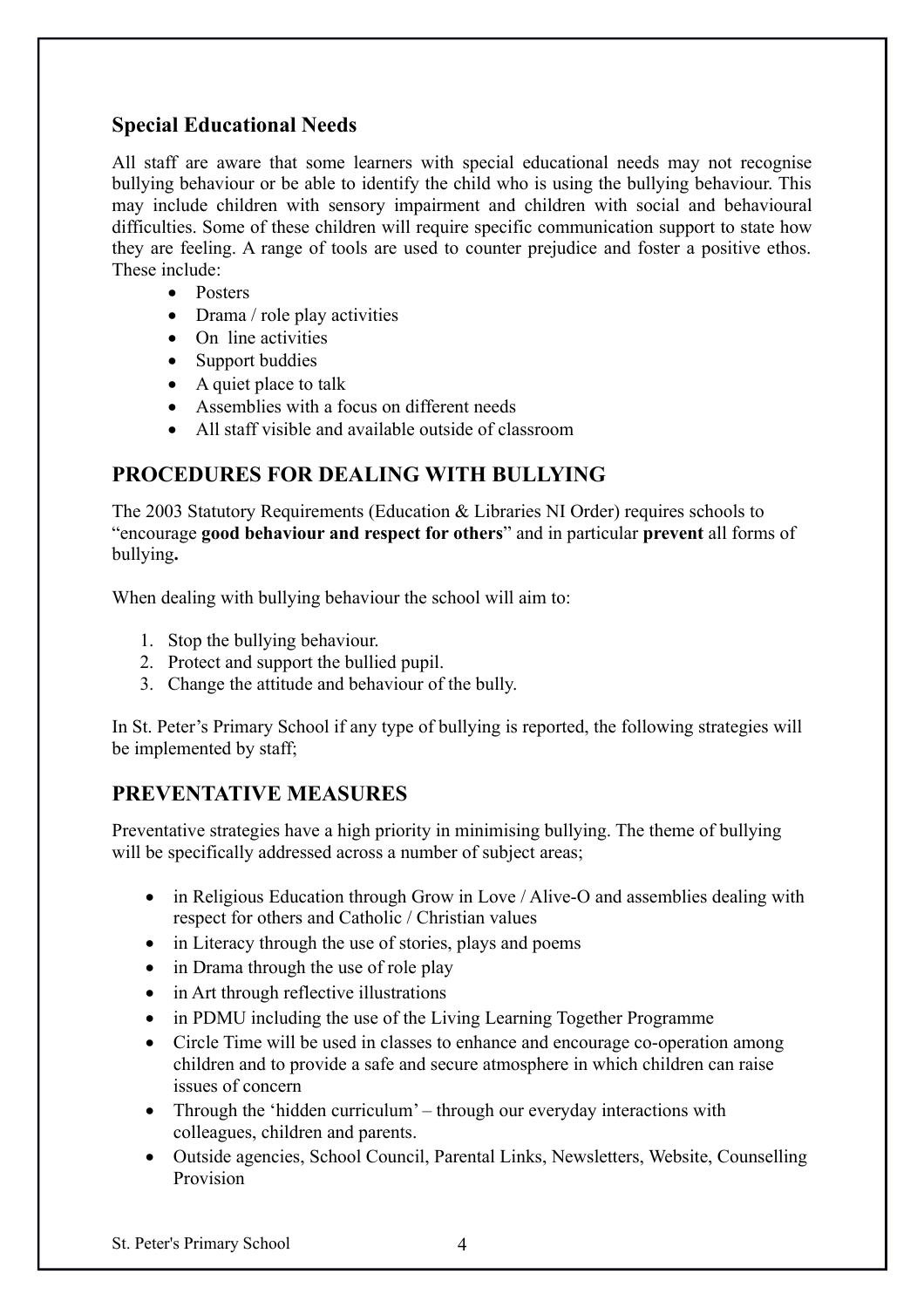# **Special Educational Needs**

All staff are aware that some learners with special educational needs may not recognise bullying behaviour or be able to identify the child who is using the bullying behaviour. This may include children with sensory impairment and children with social and behavioural difficulties. Some of these children will require specific communication support to state how they are feeling. A range of tools are used to counter prejudice and foster a positive ethos. These include:

- Posters
- Drama / role play activities
- On line activities
- Support buddies
- A quiet place to talk
- Assemblies with a focus on different needs
- All staff visible and available outside of classroom

# **PROCEDURES FOR DEALING WITH BULLYING**

The 2003 Statutory Requirements (Education & Libraries NI Order) requires schools to "encourage **good behaviour and respect for others**" and in particular **prevent** all forms of bullying**.**

When dealing with bullying behaviour the school will aim to:

- 1. Stop the bullying behaviour.
- 2. Protect and support the bullied pupil.
- 3. Change the attitude and behaviour of the bully.

In St. Peter's Primary School if any type of bullying is reported, the following strategies will be implemented by staff;

# **PREVENTATIVE MEASURES**

Preventative strategies have a high priority in minimising bullying. The theme of bullying will be specifically addressed across a number of subject areas;

- in Religious Education through Grow in Love / Alive-O and assemblies dealing with respect for others and Catholic / Christian values
- in Literacy through the use of stories, plays and poems
- in Drama through the use of role play
- in Art through reflective illustrations
- in PDMU including the use of the Living Learning Together Programme
- Circle Time will be used in classes to enhance and encourage co-operation among children and to provide a safe and secure atmosphere in which children can raise issues of concern
- Through the 'hidden curriculum' through our everyday interactions with colleagues, children and parents.
- Outside agencies, School Council, Parental Links, Newsletters, Website, Counselling Provision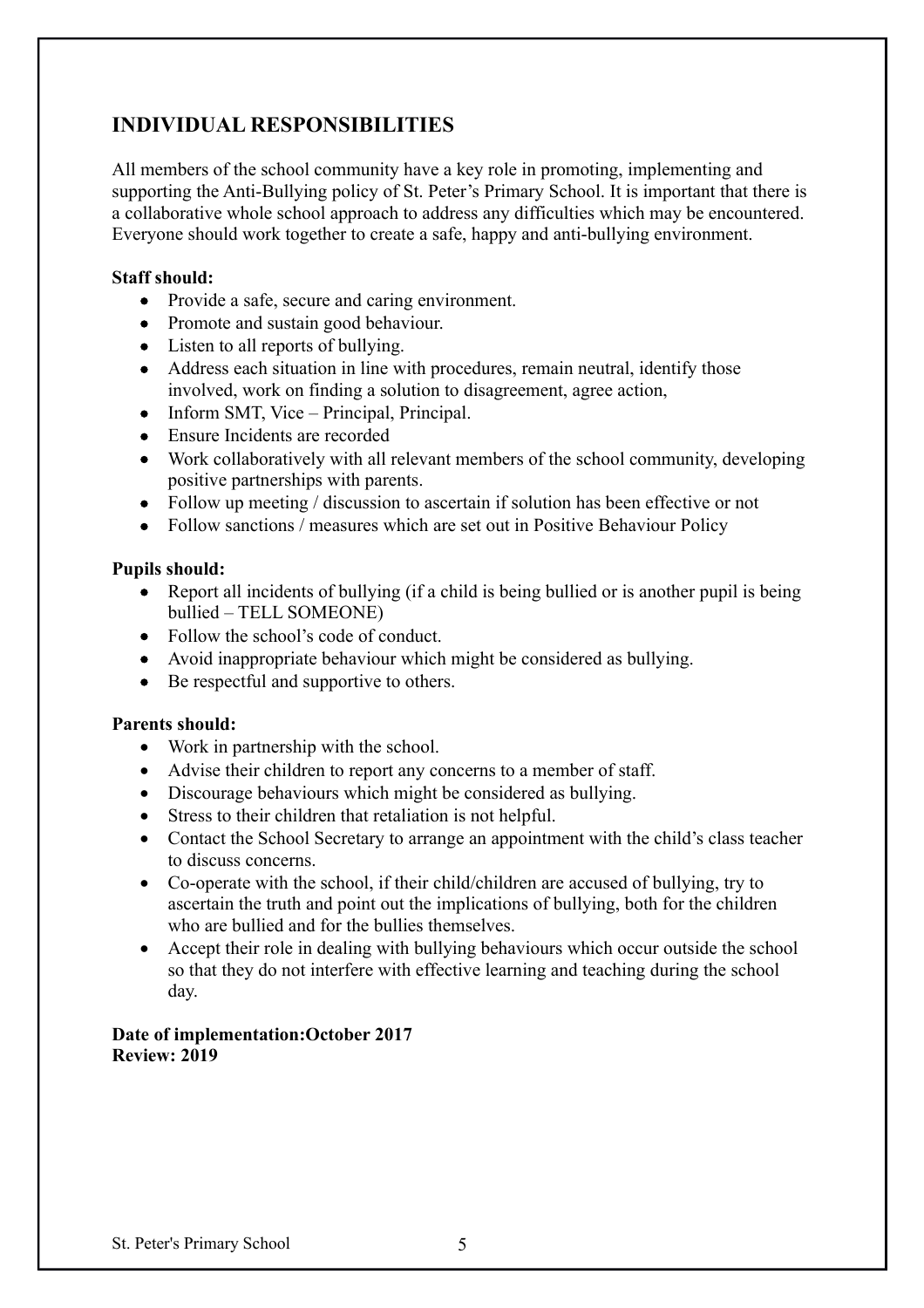# **INDIVIDUAL RESPONSIBILITIES**

All members of the school community have a key role in promoting, implementing and supporting the Anti-Bullying policy of St. Peter's Primary School. It is important that there is a collaborative whole school approach to address any difficulties which may be encountered. Everyone should work together to create a safe, happy and anti-bullying environment.

## **Staff should:**

- Provide a safe, secure and caring environment.
- Promote and sustain good behaviour.
- Listen to all reports of bullying.
- Address each situation in line with procedures, remain neutral, identify those involved, work on finding a solution to disagreement, agree action,
- $\bullet$  Inform SMT, Vice Principal, Principal.
- Ensure Incidents are recorded
- Work collaboratively with all relevant members of the school community, developing positive partnerships with parents.
- Follow up meeting / discussion to ascertain if solution has been effective or not
- Follow sanctions / measures which are set out in Positive Behaviour Policy

## **Pupils should:**

- Report all incidents of bullying (if a child is being bullied or is another pupil is being bullied – TELL SOMEONE)
- Follow the school's code of conduct.
- Avoid inappropriate behaviour which might be considered as bullying.
- Be respectful and supportive to others.

#### **Parents should:**

- Work in partnership with the school.
- Advise their children to report any concerns to a member of staff.
- Discourage behaviours which might be considered as bullying.
- Stress to their children that retaliation is not helpful.
- Contact the School Secretary to arrange an appointment with the child's class teacher to discuss concerns.
- Co-operate with the school, if their child/children are accused of bullying, try to ascertain the truth and point out the implications of bullying, both for the children who are bullied and for the bullies themselves.
- Accept their role in dealing with bullying behaviours which occur outside the school so that they do not interfere with effective learning and teaching during the school day.

## **Date of implementation:October 2017 Review: 2019**